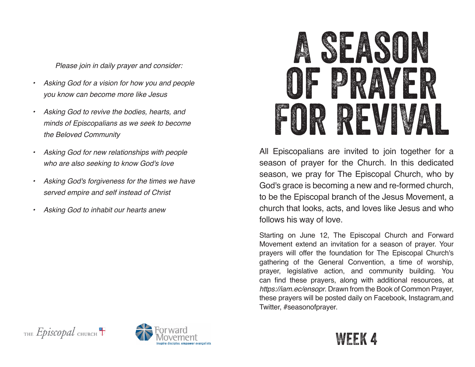*Please join in daily prayer and consider:*

- *• Asking God for a vision for how you and people you know can become more like Jesus*
- *• Asking God to revive the bodies, hearts, and minds of Episcopalians as we seek to become the Beloved Community*
- *• Asking God for new relationships with people who are also seeking to know God's love*
- *• Asking God's forgiveness for the times we have served empire and self instead of Christ*
- *• Asking God to inhabit our hearts anew*



All Episcopalians are invited to join together for a season of prayer for the Church. In this dedicated season, we pray for The Episcopal Church, who by God's grace is becoming a new and re-formed church, to be the Episcopal branch of the Jesus Movement, a church that looks, acts, and loves like Jesus and who follows his way of love.

Starting on June 12, The Episcopal Church and Forward Movement extend an invitation for a season of prayer. Your prayers will offer the foundation for The Episcopal Church's gathering of the General Convention, a time of worship, prayer, legislative action, and community building. You can find these prayers, along with additional resources, at *https://iam.ec/ensopr*. Drawn from the Book of Common Prayer, these prayers will be posted daily on Facebook, Instagram,and Twitter, #seasonofprayer.